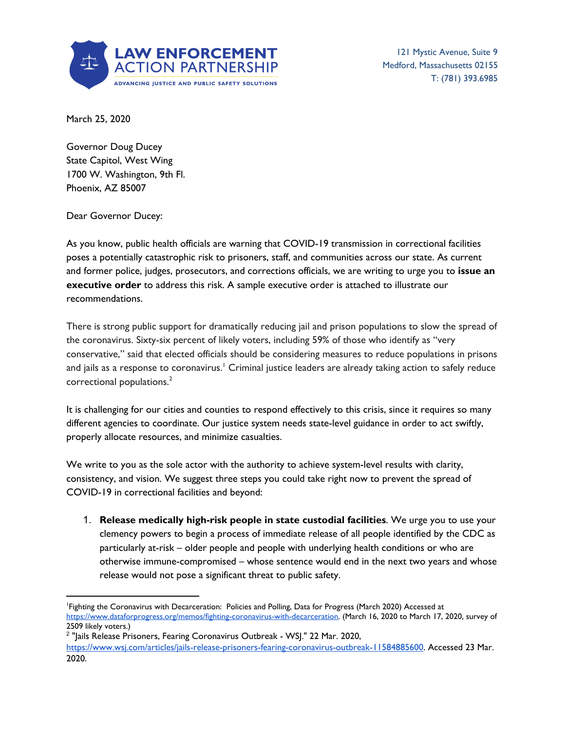

121 Mystic Avenue, Suite 9 Medford, Massachusetts 02155 T: (781) 393.6985

March 25, 2020

Governor Doug Ducey State Capitol, West Wing 1700 W. Washington, 9th Fl. Phoenix, AZ 85007

Dear Governor Ducey:

As you know, public health officials are warning that COVID-19 transmission in correctional facilities poses a potentially catastrophic risk to prisoners, staff, and communities across our state. As current and former police, judges, prosecutors, and corrections officials, we are writing to urge you to **issue an executive order** to address this risk. A sample executive order is attached to illustrate our recommendations.

There is strong public support for dramatically reducing jail and prison populations to slow the spread of the coronavirus. Sixty-six percent of likely voters, including 59% of those who identify as "very conservative," said that elected officials should be considering measures to reduce populations in prisons and jails as a response to coronavirus.' Criminal justice leaders are already taking action to safely reduce correctional populations. 2

It is challenging for our cities and counties to respond effectively to this crisis, since it requires so many different agencies to coordinate. Our justice system needs state-level guidance in order to act swiftly, properly allocate resources, and minimize casualties.

We write to you as the sole actor with the authority to achieve system-level results with clarity, consistency, and vision. We suggest three steps you could take right now to prevent the spread of COVID-19 in correctional facilities and beyond:

1. **Release medically high-risk people in state custodial facilities**. We urge you to use your clemency powers to begin a process of immediate release of all people identified by the CDC as particularly at-risk – older people and people with underlying health conditions or who are otherwise immune-compromised – whose sentence would end in the next two years and whose release would not pose a significant threat to public safety.

<sup>1</sup>Fighting the Coronavirus with Decarceration: Policies and Polling, Data for Progress (March 2020) Accessed at https://www.dataforprogress.org/memos/fighting-coronavirus-with-decarceration. (March 16, 2020 to March 17, 2020, survey of 2509 likely voters.)

<sup>&</sup>lt;sup>2</sup> "Jails Release Prisoners, Fearing Coronavirus Outbreak - WSJ." 22 Mar. 2020, https://www.wsj.com/articles/jails-release-prisoners-fearing-coronavirus-outbreak-11584885600. Accessed 23 Mar. 2020.